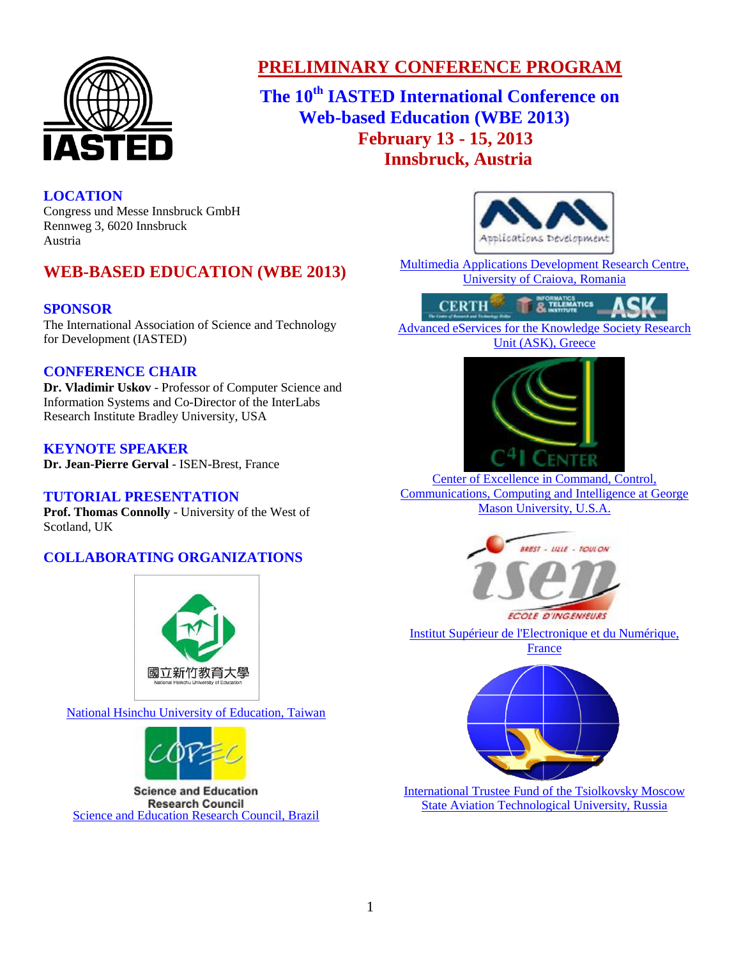

# **PRELIMINARY CONFERENCE PROGRAM**

**The 10 th IASTED International Conference on Web-based Education (WBE 2013) February 13 - 15, 2013 Innsbruck, Austria**

## **LOCATION**

Congress und Messe Innsbruck GmbH Rennweg 3, 6020 Innsbruck Austria

# **WEB-BASED EDUCATION (WBE 2013)**

## **SPONSOR**

The International Association of Science and Technology for Development (IASTED)

## **CONFERENCE CHAIR**

**[Dr. Vladimir Uskov](http://www.iasted.org/conferences/chair1-792.html)** - Professor of Computer Science and Information Systems and Co-Director of the InterLabs Research Institute Bradley University, USA

## **KEYNOTE SPEAKER**

**[Dr. Jean-Pierre Gerval](http://intranet.iseb.fr/perso/jpgerval/menu.htm)** - ISEN-Brest, France

## **TUTORIAL PRESENTATION**

**[Prof. Thomas Connolly](http://www.uws.ac.uk/staff-profiles/computing/thomas-connolly/)** - University of the West of Scotland, UK

## **COLLABORATING ORGANIZATIONS**



[National Hsinchu University of Education, Taiwan](http://international.web.nhcue.edu.tw/front/bin/home.phtml)



**Science and Education Research Council** [Science and Education Research Council, Brazil](http://www.copec.org.br/)



[Multimedia Applications Development Research Centre,](http://cis01.central.ucv.ro/en/)  [University of Craiova, Romania](http://cis01.central.ucv.ro/en/)



[Advanced eServices for the Knowledge Society Research](http://www.ask4research.info/)  [Unit \(ASK\), Greece](http://www.ask4research.info/)



[Center of Excellence in](http://c4i.gmu.edu/) Command, Control, [Communications, Computing and Intelligence at George](http://c4i.gmu.edu/)  [Mason University, U.S.A.](http://c4i.gmu.edu/)



[Institut Supérieur de l'Electronique et du Numérique,](http://www.isen.fr/gb/)  [France](http://www.isen.fr/gb/)



[International Trustee Fund of the Tsiolkovsky Moscow](http://www.fund.ru/index.asp)  [State Aviation Technological University, Russia](http://www.fund.ru/index.asp)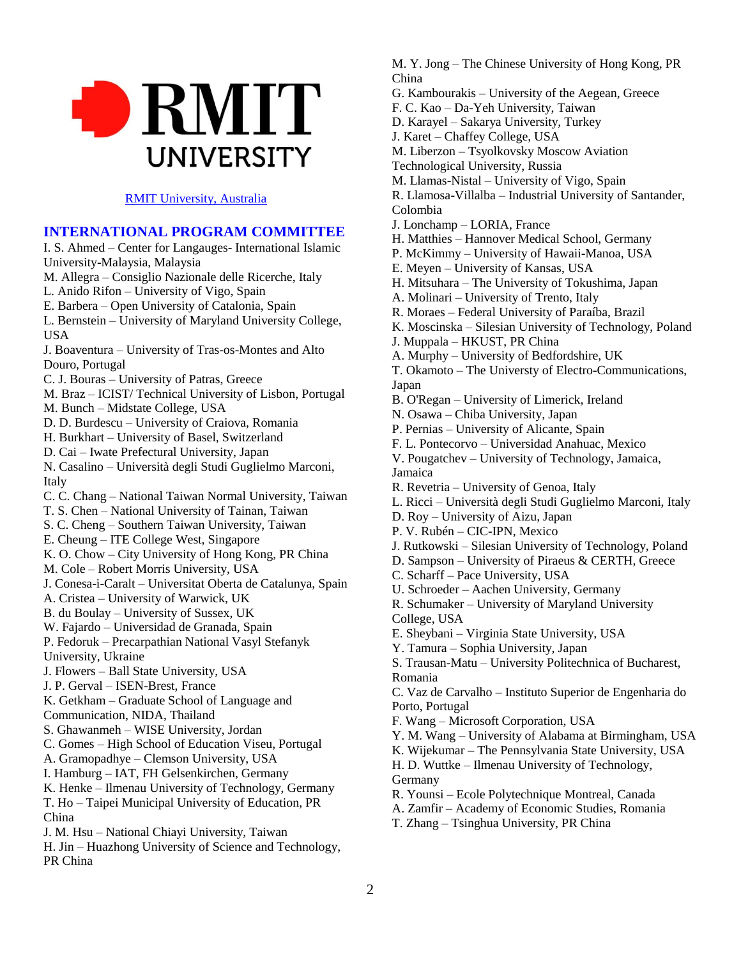

#### [RMIT University, Australia](http://www.rmit.edu.au/businessitlogistics)

**INTERNATIONAL PROGRAM COMMITTEE** I. S. Ahmed – Center for Langauges- International Islamic University-Malaysia, Malaysia M. Allegra – Consiglio Nazionale delle Ricerche, Italy L. Anido Rifon – University of Vigo, Spain E. Barbera – Open University of Catalonia, Spain L. Bernstein – University of Maryland University College, USA J. Boaventura – University of Tras-os-Montes and Alto Douro, Portugal C. J. Bouras – University of Patras, Greece M. Braz – ICIST/ Technical University of Lisbon, Portugal M. Bunch – Midstate College, USA D. D. Burdescu – University of Craiova, Romania H. Burkhart – University of Basel, Switzerland D. Cai – Iwate Prefectural University, Japan N. Casalino – Università degli Studi Guglielmo Marconi, Italy C. C. Chang – National Taiwan Normal University, Taiwan T. S. Chen – National University of Tainan, Taiwan S. C. Cheng – Southern Taiwan University, Taiwan E. Cheung – ITE College West, Singapore K. O. Chow – City University of Hong Kong, PR China M. Cole – Robert Morris University, USA J. Conesa-i-Caralt – Universitat Oberta de Catalunya, Spain A. Cristea – University of Warwick, UK B. du Boulay – University of Sussex, UK W. Fajardo – Universidad de Granada, Spain P. Fedoruk – Precarpathian National Vasyl Stefanyk University, Ukraine J. Flowers – Ball State University, USA J. P. Gerval – ISEN-Brest, France K. Getkham – Graduate School of Language and Communication, NIDA, Thailand S. Ghawanmeh – WISE University, Jordan C. Gomes – High School of Education Viseu, Portugal A. Gramopadhye – Clemson University, USA I. Hamburg – IAT, FH Gelsenkirchen, Germany K. Henke – Ilmenau University of Technology, Germany T. Ho – Taipei Municipal University of Education, PR China J. M. Hsu – National Chiayi University, Taiwan H. Jin – Huazhong University of Science and Technology, PR China

M. Y. Jong – The Chinese University of Hong Kong, PR China

- G. Kambourakis University of the Aegean, Greece
- F. C. Kao Da-Yeh University, Taiwan
- D. Karayel Sakarya University, Turkey
- J. Karet Chaffey College, USA
- M. Liberzon Tsyolkovsky Moscow Aviation
- Technological University, Russia
- M. Llamas-Nistal University of Vigo, Spain
- R. Llamosa-Villalba Industrial University of Santander, Colombia
- J. Lonchamp LORIA, France
- H. Matthies Hannover Medical School, Germany
- P. McKimmy University of Hawaii-Manoa, USA
- E. Meyen University of Kansas, USA
- H. Mitsuhara The University of Tokushima, Japan
- A. Molinari University of Trento, Italy
- R. Moraes Federal University of Paraíba, Brazil
- K. Moscinska Silesian University of Technology, Poland
- J. Muppala HKUST, PR China
- A. Murphy University of Bedfordshire, UK
- T. Okamoto The Universty of Electro-Communications, Japan
- B. O'Regan University of Limerick, Ireland
- N. Osawa Chiba University, Japan
- P. Pernias University of Alicante, Spain
- F. L. Pontecorvo Universidad Anahuac, Mexico
- V. Pougatchev University of Technology, Jamaica, Jamaica
- R. Revetria University of Genoa, Italy
- L. Ricci Università degli Studi Guglielmo Marconi, Italy
- D. Roy University of Aizu, Japan
- P. V. Rubén CIC-IPN, Mexico
- J. Rutkowski Silesian University of Technology, Poland
- D. Sampson University of Piraeus & CERTH, Greece
- C. Scharff Pace University, USA
- U. Schroeder Aachen University, Germany
- R. Schumaker University of Maryland University
- College, USA
- E. Sheybani Virginia State University, USA
- Y. Tamura Sophia University, Japan
- S. Trausan-Matu University Politechnica of Bucharest, Romania

C. Vaz de Carvalho – Instituto Superior de Engenharia do Porto, Portugal

- F. Wang Microsoft Corporation, USA
- Y. M. Wang University of Alabama at Birmingham, USA
- K. Wijekumar The Pennsylvania State University, USA
- H. D. Wuttke Ilmenau University of Technology, **Germany**
- R. Younsi Ecole Polytechnique Montreal, Canada
- A. Zamfir Academy of Economic Studies, Romania
- T. Zhang Tsinghua University, PR China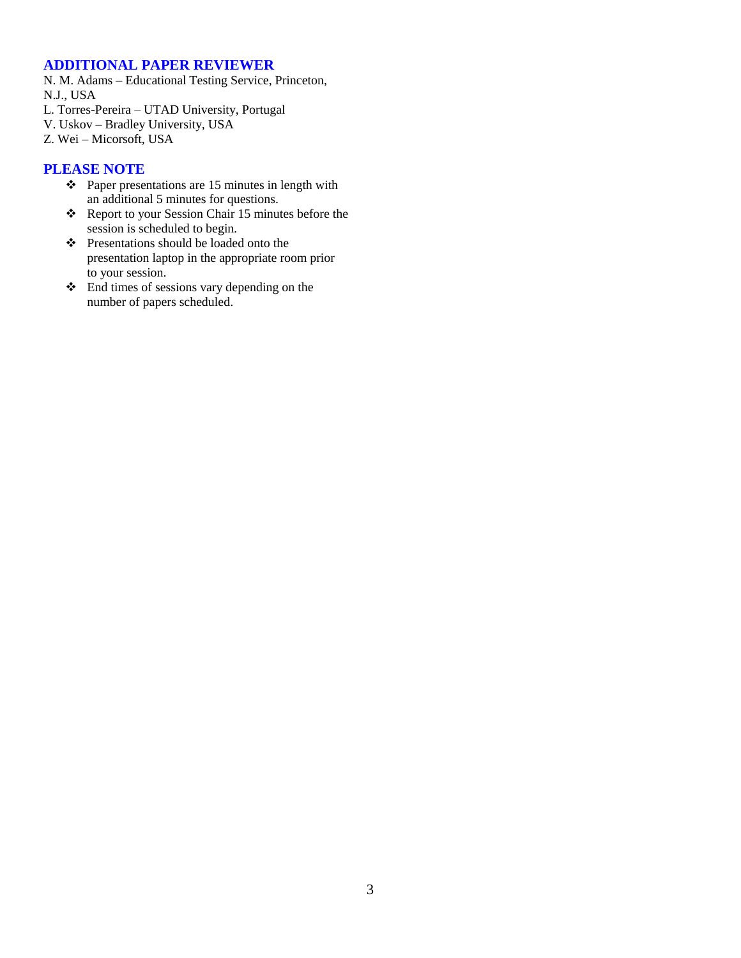#### **ADDITIONAL PAPER REVIEWER**

N. M. Adams – Educational Testing Service, Princeton, N.J., USA

- L. Torres-Pereira UTAD University, Portugal
- V. Uskov Bradley University, USA
- Z. Wei Micorsoft, USA

## **PLEASE NOTE**

- $\div$  Paper presentations are 15 minutes in length with an additional 5 minutes for questions.
- \* Report to your Session Chair 15 minutes before the session is scheduled to begin.
- Presentations should be loaded onto the presentation laptop in the appropriate room prior to your session.
- End times of sessions vary depending on the number of papers scheduled.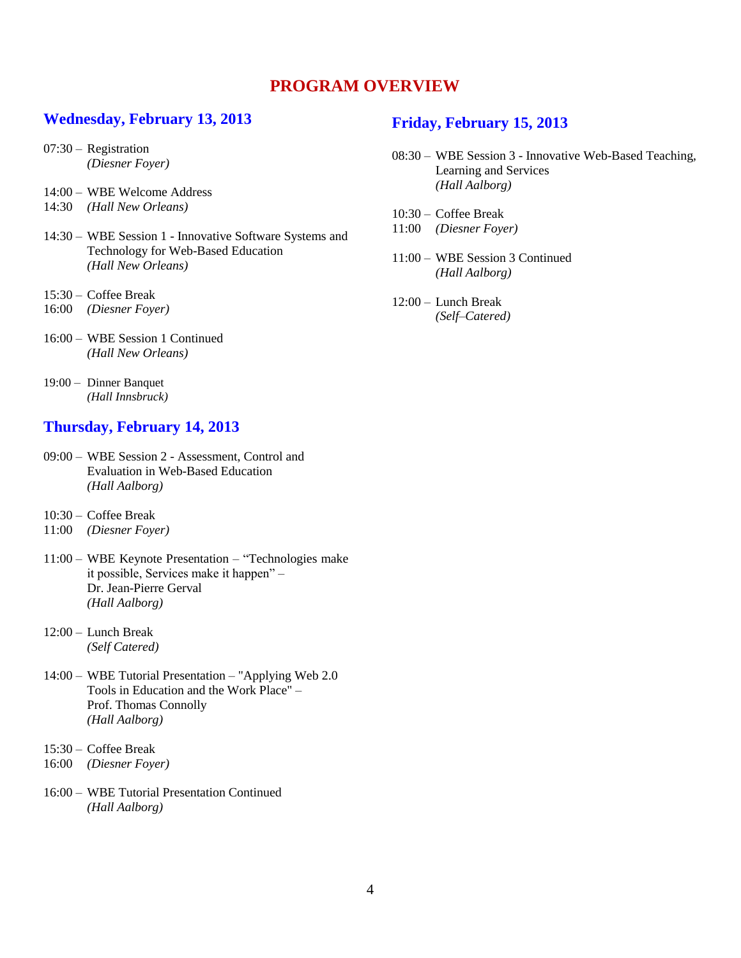## **PROGRAM OVERVIEW**

## **Wednesday, February 13, 2013**

- 07:30 Registration *(Diesner Foyer)*
- 14:00 WBE Welcome Address
- 14:30 *(Hall New Orleans)*
- 14:30 WBE Session 1 Innovative Software Systems and Technology for Web-Based Education *(Hall New Orleans)*
- 15:30 Coffee Break
- 16:00 *(Diesner Foyer)*
- 16:00 WBE Session 1 Continued *(Hall New Orleans)*
- 19:00 Dinner Banquet *(Hall Innsbruck)*

## **Thursday, February 14, 2013**

- 09:00 WBE Session 2 Assessment, Control and Evaluation in Web-Based Education *(Hall Aalborg)*
- 10:30 Coffee Break
- 11:00 *(Diesner Foyer)*
- 11:00 WBE Keynote Presentation "Technologies make it possible, Services make it happen" – [Dr. Jean-Pierre Gerval](http://intranet.iseb.fr/perso/jpgerval/menu.htm) *(Hall Aalborg)*
- 12:00 Lunch Break *(Self Catered)*
- 14:00 WBE Tutorial Presentation ["Applying Web 2.0](http://www.iasted.org/conferences/tutorial-792.html)  [Tools in Education and the Work Place"](http://www.iasted.org/conferences/tutorial-792.html) – [Prof. Thomas Connolly](http://www.uws.ac.uk/staff-profiles/computing/thomas-connolly/) *(Hall Aalborg)*
- 15:30 Coffee Break
- 16:00 *(Diesner Foyer)*
- 16:00 WBE Tutorial Presentation Continued *(Hall Aalborg)*

## **Friday, February 15, 2013**

- 08:30 WBE Session 3 Innovative Web-Based Teaching, Learning and Services *(Hall Aalborg)*
- 10:30 Coffee Break
- 11:00 *(Diesner Foyer)*
- 11:00 WBE Session 3 Continued *(Hall Aalborg)*
- 12:00 Lunch Break *(Self–Catered)*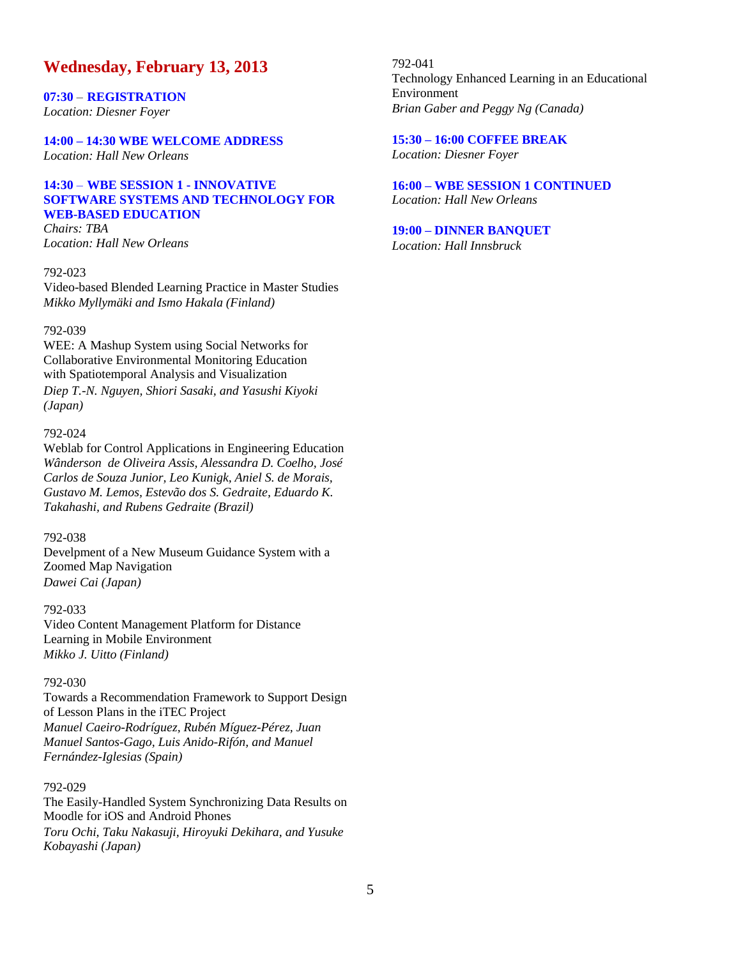## **Wednesday, February 13, 2013**

**07:30** – **REGISTRATION** *Location: Diesner Foyer*

**14:00 – 14:30 WBE WELCOME ADDRESS** *Location: Hall New Orleans*

### **14:30** – **WBE SESSION 1 - INNOVATIVE SOFTWARE SYSTEMS AND TECHNOLOGY FOR WEB-BASED EDUCATION**

*Chairs: TBA Location: Hall New Orleans*

#### 792-023

Video-based Blended Learning Practice in Master Studies *Mikko Myllymäki and Ismo Hakala (Finland)*

#### 792-039

WEE: A Mashup System using Social Networks for Collaborative Environmental Monitoring Education with Spatiotemporal Analysis and Visualization *Diep T.-N. Nguyen, Shiori Sasaki, and Yasushi Kiyoki (Japan)*

#### 792-024

Weblab for Control Applications in Engineering Education *Wânderson de Oliveira Assis, Alessandra D. Coelho, José Carlos de Souza Junior, Leo Kunigk, Aniel S. de Morais, Gustavo M. Lemos, Estevão dos S. Gedraite, Eduardo K. Takahashi, and Rubens Gedraite (Brazil)*

#### 792-038

Develpment of a New Museum Guidance System with a Zoomed Map Navigation *Dawei Cai (Japan)*

792-033 Video Content Management Platform for Distance Learning in Mobile Environment *Mikko J. Uitto (Finland)*

#### 792-030

Towards a Recommendation Framework to Support Design of Lesson Plans in the iTEC Project *Manuel Caeiro-Rodríguez, Rubén Míguez-Pérez, Juan Manuel Santos-Gago, Luis Anido-Rifón, and Manuel Fernández-Iglesias (Spain)*

#### 792-029

The Easily-Handled System Synchronizing Data Results on Moodle for iOS and Android Phones *Toru Ochi, Taku Nakasuji, Hiroyuki Dekihara, and Yusuke Kobayashi (Japan)*

792-041 Technology Enhanced Learning in an Educational Environment *Brian Gaber and Peggy Ng (Canada)*

# **15:30 – 16:00 COFFEE BREAK**

*Location: Diesner Foyer*

**16:00 – WBE SESSION 1 CONTINUED** *Location: Hall New Orleans*

#### **19:00 – DINNER BANQUET**

*Location: Hall Innsbruck*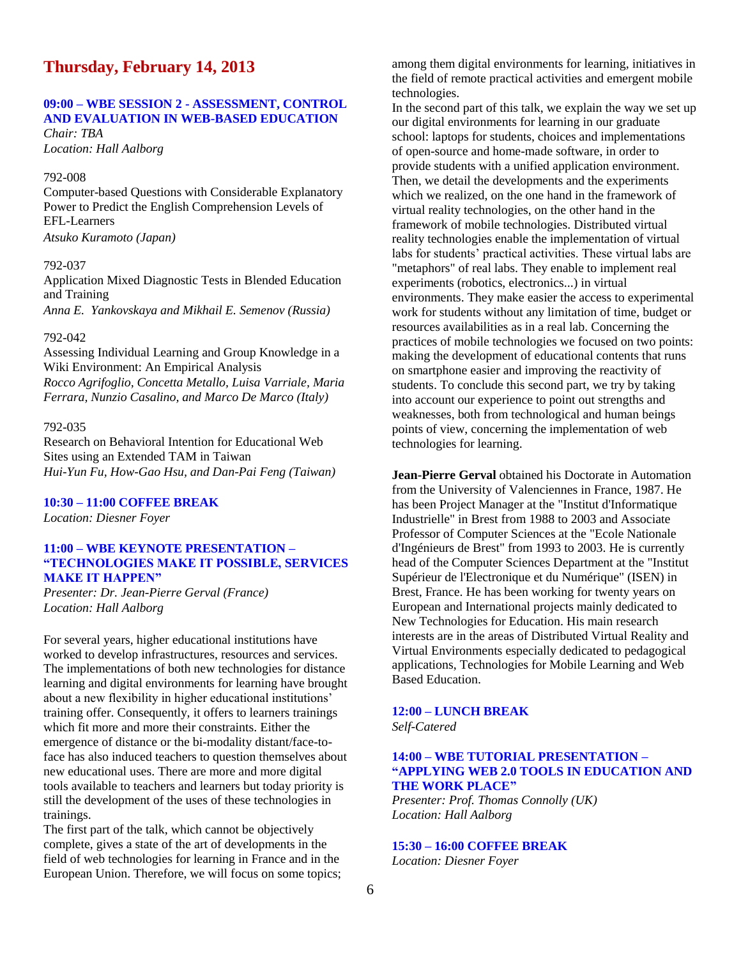## **Thursday, February 14, 2013**

## **09:00 – WBE SESSION 2 - ASSESSMENT, CONTROL AND EVALUATION IN WEB-BASED EDUCATION**

*Chair: TBA Location: Hall Aalborg*

#### 792-008

Computer-based Questions with Considerable Explanatory Power to Predict the English Comprehension Levels of EFL-Learners *Atsuko Kuramoto (Japan)*

#### 792-037

Application Mixed Diagnostic Tests in Blended Education and Training

*Anna E. Yankovskaya and Mikhail E. Semenov (Russia)*

#### 792-042

Assessing Individual Learning and Group Knowledge in a Wiki Environment: An Empirical Analysis *Rocco Agrifoglio, Concetta Metallo, Luisa Varriale, Maria Ferrara, Nunzio Casalino, and Marco De Marco (Italy)*

#### 792-035

Research on Behavioral Intention for Educational Web Sites using an Extended TAM in Taiwan *Hui-Yun Fu, How-Gao Hsu, and Dan-Pai Feng (Taiwan)*

**10:30 – 11:00 COFFEE BREAK**

*Location: Diesner Foyer*

#### **11:00 – WBE KEYNOTE PRESENTATION – "TECHNOLOGIES MAKE IT POSSIBLE, SERVICES MAKE IT HAPPEN"**

*Presenter: [Dr. Jean-Pierre Gerval](http://intranet.iseb.fr/perso/jpgerval/menu.htm) (France) Location: Hall Aalborg*

For several years, higher educational institutions have worked to develop infrastructures, resources and services. The implementations of both new technologies for distance learning and digital environments for learning have brought about a new flexibility in higher educational institutions' training offer. Consequently, it offers to learners trainings which fit more and more their constraints. Either the emergence of distance or the bi-modality distant/face-toface has also induced teachers to question themselves about new educational uses. There are more and more digital tools available to teachers and learners but today priority is still the development of the uses of these technologies in trainings.

The first part of the talk, which cannot be objectively complete, gives a state of the art of developments in the field of web technologies for learning in France and in the European Union. Therefore, we will focus on some topics; among them digital environments for learning, initiatives in the field of remote practical activities and emergent mobile technologies.

In the second part of this talk, we explain the way we set up our digital environments for learning in our graduate school: laptops for students, choices and implementations of open-source and home-made software, in order to provide students with a unified application environment. Then, we detail the developments and the experiments which we realized, on the one hand in the framework of virtual reality technologies, on the other hand in the framework of mobile technologies. Distributed virtual reality technologies enable the implementation of virtual labs for students' practical activities. These virtual labs are "metaphors" of real labs. They enable to implement real experiments (robotics, electronics...) in virtual environments. They make easier the access to experimental work for students without any limitation of time, budget or resources availabilities as in a real lab. Concerning the practices of mobile technologies we focused on two points: making the development of educational contents that runs on smartphone easier and improving the reactivity of students. To conclude this second part, we try by taking into account our experience to point out strengths and weaknesses, both from technological and human beings points of view, concerning the implementation of web technologies for learning.

**[Jean-Pierre Gerval](http://intranet.iseb.fr/perso/jpgerval/menu.htm)** obtained his Doctorate in Automation from the University of Valenciennes in France, 1987. He has been Project Manager at the "Institut d'Informatique Industrielle" in Brest from 1988 to 2003 and Associate Professor of Computer Sciences at the "Ecole Nationale d'Ingénieurs de Brest" from 1993 to 2003. He is currently head of the Computer Sciences Department at the "Institut Supérieur de l'Electronique et du Numérique" (ISEN) in Brest, France. He has been working for twenty years on European and International projects mainly dedicated to New Technologies for Education. His main research interests are in the areas of Distributed Virtual Reality and Virtual Environments especially dedicated to pedagogical applications, Technologies for Mobile Learning and Web Based Education.

#### **12:00 – LUNCH BREAK** *Self-Catered*

#### **14:00 – WBE TUTORIAL PRESENTATION – "APPLYING WEB 2.0 TOOLS IN EDUCATION AND THE WORK PLACE"**

*Presenter: [Prof. Thomas Connolly](http://www.uws.ac.uk/staff-profiles/computing/thomas-connolly/) (UK) Location: Hall Aalborg*

**15:30 – 16:00 COFFEE BREAK** *Location: Diesner Foyer*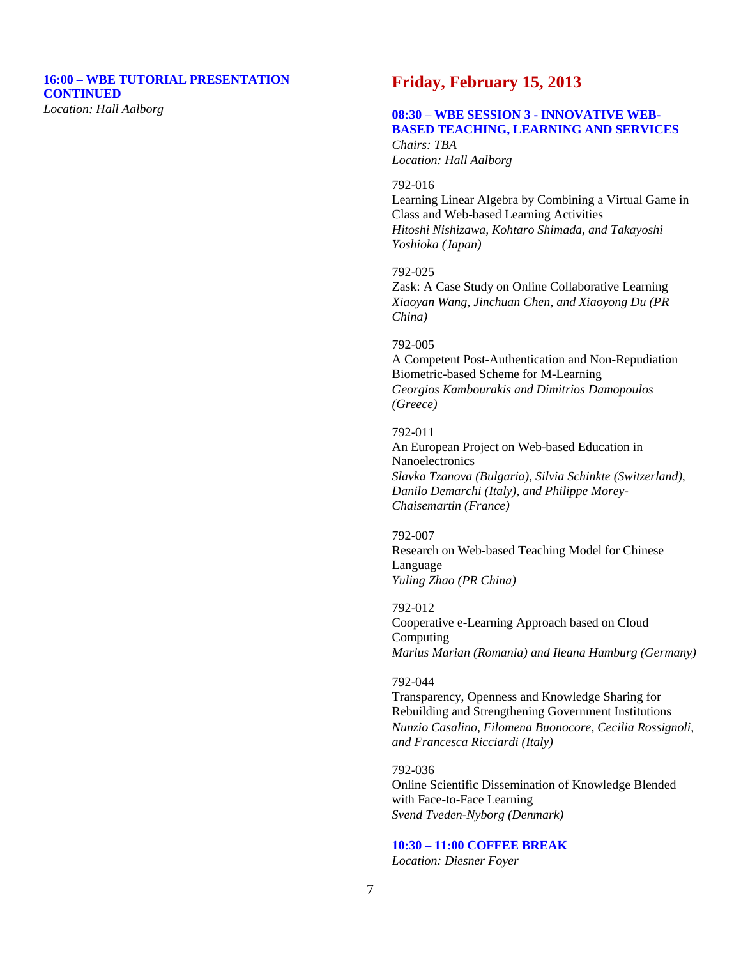#### **16:00 – WBE TUTORIAL PRESENTATION CONTINUED**  *Location: Hall Aalborg*

## **Friday, February 15, 2013**

#### **08:30 – WBE SESSION 3 - INNOVATIVE WEB-BASED TEACHING, LEARNING AND SERVICES** *Chairs: TBA*

*Location: Hall Aalborg*

#### 792-016

Learning Linear Algebra by Combining a Virtual Game in Class and Web-based Learning Activities *Hitoshi Nishizawa, Kohtaro Shimada, and Takayoshi Yoshioka (Japan)*

#### 792-025

Zask: A Case Study on Online Collaborative Learning *Xiaoyan Wang, Jinchuan Chen, and Xiaoyong Du (PR China)*

#### 792-005

A Competent Post-Authentication and Non-Repudiation Biometric-based Scheme for M-Learning *Georgios Kambourakis and Dimitrios Damopoulos (Greece)*

#### 792-011

An European Project on Web-based Education in Nanoelectronics *Slavka Tzanova (Bulgaria), Silvia Schinkte (Switzerland), Danilo Demarchi (Italy), and Philippe Morey-Chaisemartin (France)*

#### 792-007

Research on Web-based Teaching Model for Chinese Language *Yuling Zhao (PR China)*

#### 792-012

Cooperative e-Learning Approach based on Cloud Computing *Marius Marian (Romania) and Ileana Hamburg (Germany)*

#### 792-044

Transparency, Openness and Knowledge Sharing for Rebuilding and Strengthening Government Institutions *Nunzio Casalino, Filomena Buonocore, Cecilia Rossignoli, and Francesca Ricciardi (Italy)*

792-036 Online Scientific Dissemination of Knowledge Blended with Face-to-Face Learning *Svend Tveden-Nyborg (Denmark)*

# **10:30 – 11:00 COFFEE BREAK**

*Location: Diesner Foyer*